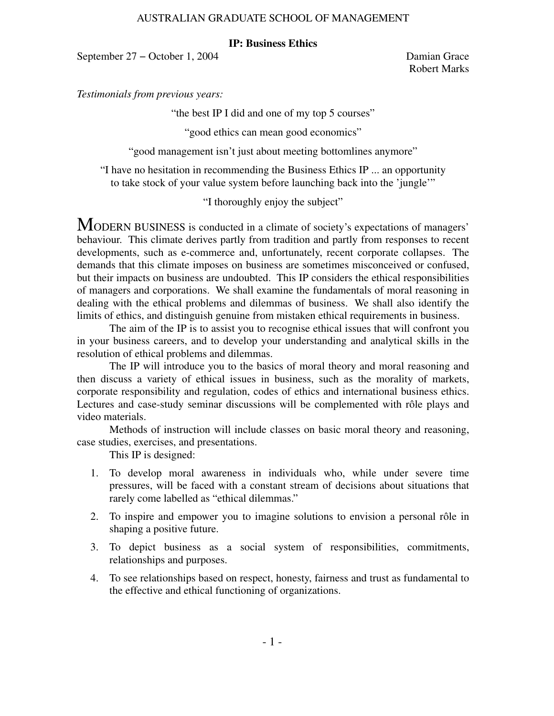## **IP: Business Ethics**

September 27 − October 1, 2004 Damian Grace

Robert Marks

*Testimonials from previous years:*

"the best IP I did and one of my top 5 courses"

"good ethics can mean good economics"

"good management isn't just about meeting bottomlines anymore"

"I have no hesitation in recommending the Business Ethics IP ... an opportunity to take stock of your value system before launching back into the 'jungle'"

"I thoroughly enjoy the subject"

MODERN BUSINESS is conducted in a climate of society's expectations of managers' behaviour. This climate derives partly from tradition and partly from responses to recent developments, such as e-commerce and, unfortunately, recent corporate collapses. The demands that this climate imposes on business are sometimes misconceived or confused, but their impacts on business are undoubted. This IP considers the ethical responsibilities of managers and corporations. We shall examine the fundamentals of moral reasoning in dealing with the ethical problems and dilemmas of business. We shall also identify the limits of ethics, and distinguish genuine from mistaken ethical requirements in business.

The aim of the IP is to assist you to recognise ethical issues that will confront you in your business careers, and to develop your understanding and analytical skills in the resolution of ethical problems and dilemmas.

The IP will introduce you to the basics of moral theory and moral reasoning and then discuss a variety of ethical issues in business, such as the morality of markets, corporate responsibility and regulation, codes of ethics and international business ethics. Lectures and case-study seminar discussions will be complemented with rôle plays and video materials.

Methods of instruction will include classes on basic moral theory and reasoning, case studies, exercises, and presentations.

This IP is designed:

- 1. To develop moral awareness in individuals who, while under severe time pressures, will be faced with a constant stream of decisions about situations that rarely come labelled as "ethical dilemmas."
- 2. To inspire and empower you to imagine solutions to envision a personal rôle in shaping a positive future.
- 3. To depict business as a social system of responsibilities, commitments, relationships and purposes.
- 4. To see relationships based on respect, honesty, fairness and trust as fundamental to the effective and ethical functioning of organizations.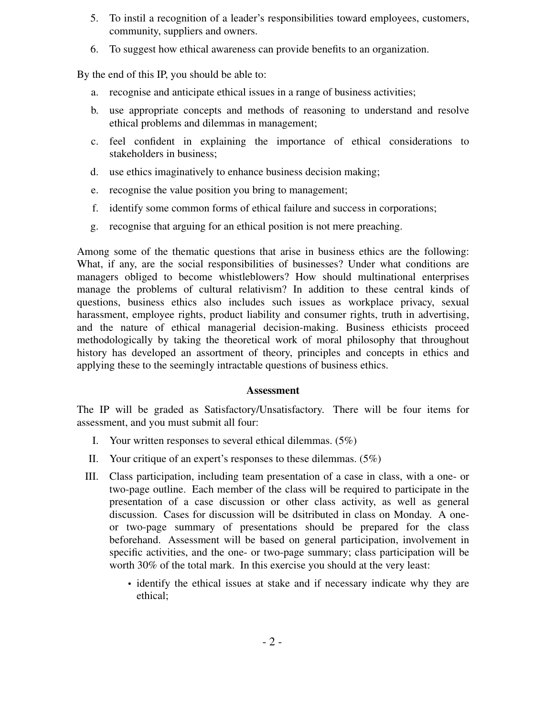- 5. To instil a recognition of a leader's responsibilities toward employees, customers, community, suppliers and owners.
- 6. To suggest how ethical awareness can provide benefits to an organization.

By the end of this IP, you should be able to:

- a. recognise and anticipate ethical issues in a range of business activities;
- b. use appropriate concepts and methods of reasoning to understand and resolve ethical problems and dilemmas in management;
- c. feel confident in explaining the importance of ethical considerations to stakeholders in business;
- d. use ethics imaginatively to enhance business decision making;
- e. recognise the value position you bring to management;
- f. identify some common forms of ethical failure and success in corporations;
- g. recognise that arguing for an ethical position is not mere preaching.

Among some of the thematic questions that arise in business ethics are the following: What, if any, are the social responsibilities of businesses? Under what conditions are managers obliged to become whistleblowers? How should multinational enterprises manage the problems of cultural relativism? In addition to these central kinds of questions, business ethics also includes such issues as workplace privacy, sexual harassment, employee rights, product liability and consumer rights, truth in advertising, and the nature of ethical managerial decision-making. Business ethicists proceed methodologically by taking the theoretical work of moral philosophy that throughout history has developed an assortment of theory, principles and concepts in ethics and applying these to the seemingly intractable questions of business ethics.

# **Assessment**

The IP will be graded as Satisfactory/Unsatisfactory. There will be four items for assessment, and you must submit all four:

- I. Your written responses to several ethical dilemmas. (5%)
- II. Your critique of an expert's responses to these dilemmas. (5%)
- III. Class participation, including team presentation of a case in class, with a one- or two-page outline. Each member of the class will be required to participate in the presentation of a case discussion or other class activity, as well as general discussion. Cases for discussion will be dsitributed in class on Monday. A oneor two-page summary of presentations should be prepared for the class beforehand. Assessment will be based on general participation, involvement in specific activities, and the one- or two-page summary; class participation will be worth 30% of the total mark. In this exercise you should at the very least:
	- identify the ethical issues at stake and if necessary indicate why they are ethical;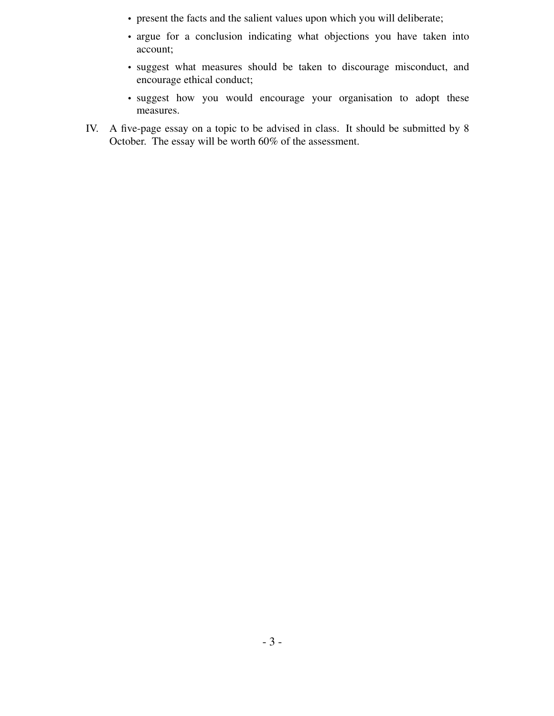- present the facts and the salient values upon which you will deliberate;
- argue for a conclusion indicating what objections you have taken into account;
- suggest what measures should be taken to discourage misconduct, and encourage ethical conduct;
- suggest how you would encourage your organisation to adopt these measures.
- IV. A five-page essay on a topic to be advised in class. It should be submitted by 8 October. The essay will be worth 60% of the assessment.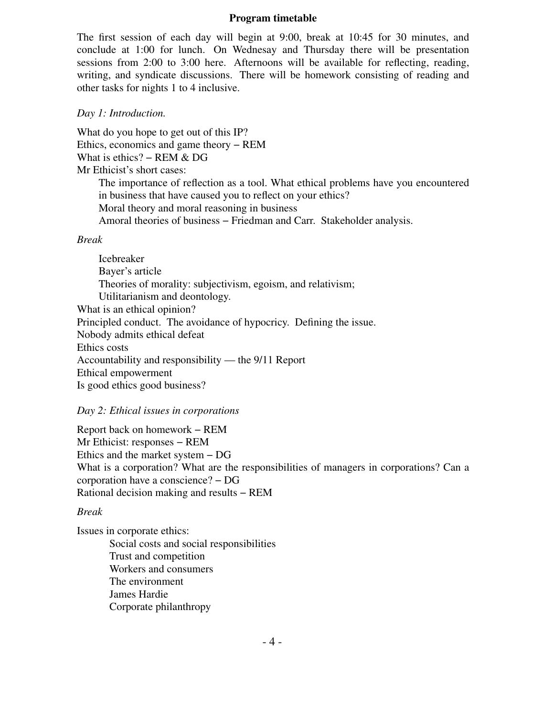#### **Program timetable**

The first session of each day will begin at 9:00, break at 10:45 for 30 minutes, and conclude at 1:00 for lunch. On Wednesay and Thursday there will be presentation sessions from 2:00 to 3:00 here. Afternoons will be available for reflecting, reading, writing, and syndicate discussions. There will be homework consisting of reading and other tasks for nights 1 to 4 inclusive.

#### *Day 1: Introduction.*

What do you hope to get out of this IP? Ethics, economics and game theory − REM What is ethics? – REM & DG Mr Ethicist's short cases:

> The importance of reflection as a tool. What ethical problems have you encountered in business that have caused you to reflect on your ethics? Moral theory and moral reasoning in business

Amoral theories of business − Friedman and Carr. Stakeholder analysis.

#### *Break*

Icebreaker Bayer's article Theories of morality: subjectivism, egoism, and relativism; Utilitarianism and deontology. What is an ethical opinion? Principled conduct. The avoidance of hypocricy. Defining the issue. Nobody admits ethical defeat Ethics costs Accountability and responsibility — the 9/11 Report Ethical empowerment Is good ethics good business?

#### *Day 2: Ethical issues in corporations*

Report back on homework − REM Mr Ethicist: responses − REM Ethics and the market system − DG What is a corporation? What are the responsibilities of managers in corporations? Can a corporation have a conscience? − DG Rational decision making and results − REM

### *Break*

Issues in corporate ethics:

Social costs and social responsibilities Trust and competition Workers and consumers The environment James Hardie Corporate philanthropy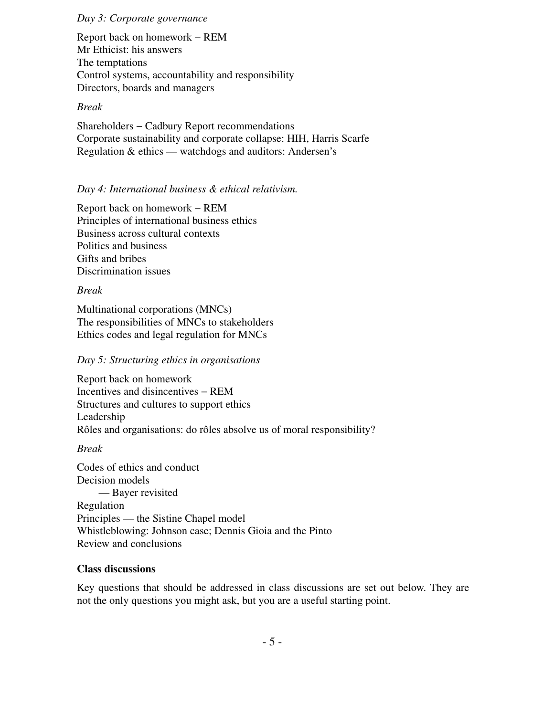### *Day 3: Corporate governance*

Report back on homework − REM Mr Ethicist: his answers The temptations Control systems, accountability and responsibility Directors, boards and managers

## *Break*

Shareholders − Cadbury Report recommendations Corporate sustainability and corporate collapse: HIH, Harris Scarfe Regulation & ethics — watchdogs and auditors: Andersen's

## *Day 4: International business & ethical relativism.*

Report back on homework − REM Principles of international business ethics Business across cultural contexts Politics and business Gifts and bribes Discrimination issues

## *Break*

Multinational corporations (MNCs) The responsibilities of MNCs to stakeholders Ethics codes and legal regulation for MNCs

## *Day 5: Structuring ethics in organisations*

Report back on homework Incentives and disincentives−REM Structures and cultures to support ethics Leadership Rôles and organisations: do rôles absolve us of moral responsibility?

*Break*

Codes of ethics and conduct Decision models — Bayer revisited Regulation Principles — the Sistine Chapel model Whistleblowing: Johnson case; Dennis Gioia and the Pinto Review and conclusions

## **Class discussions**

Key questions that should be addressed in class discussions are set out below. They are not the only questions you might ask, but you are a useful starting point.